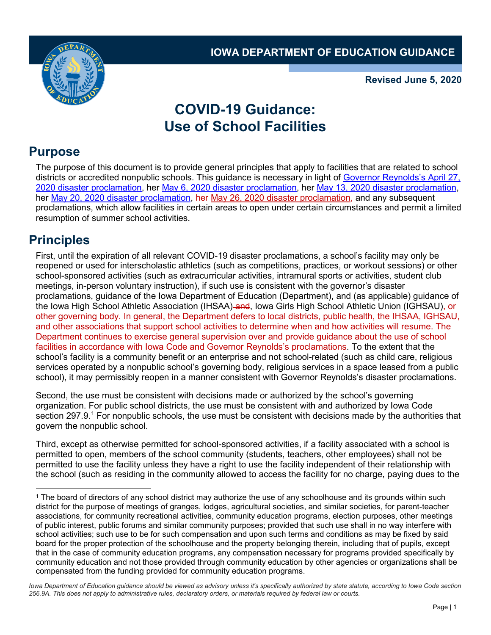

**Revised June 5, 2020**

## **COVID-19 Guidance: Use of School Facilities**

## **Purpose**

The purpose of this document is to provide general principles that apply to facilities that are related to school districts or accredited nonpublic schools. This guidance is necessary in light of [Governor Reynolds's April 27,](https://www.homelandsecurity.iowa.gov/documents/disasters/Proclamations/2020/PROC_2020_44_COVID-19_April27.pdf)  [2020 disaster proclamation,](https://www.homelandsecurity.iowa.gov/documents/disasters/Proclamations/2020/PROC_2020_44_COVID-19_April27.pdf) her [May 6, 2020 disaster proclamation,](https://www.homelandsecurity.iowa.gov/documents/disasters/Proclamations/2020/PROC_2020_45_COVID-19_May6.pdf) her [May 13, 2020 disaster proclamation,](https://www.homelandsecurity.iowa.gov/documents/disasters/Proclamations/2020/PROC_2020_46_COVID-19_May13.pdf) her [May 20, 2020 disaster proclamation,](https://coronavirus.iowa.gov/pages/proclamations) her [May 26, 2020 disaster proclamation,](https://governor.iowa.gov/sites/default/files/documents/Public%20Health%20Proclamation%20-%202020.05.26%20%281%29.pdf) and any subsequent proclamations, which allow facilities in certain areas to open under certain circumstances and permit a limited resumption of summer school activities.

## **Principles**

First, until the expiration of all relevant COVID-19 disaster proclamations, a school's facility may only be reopened or used for interscholastic athletics (such as competitions, practices, or workout sessions) or other school-sponsored activities (such as extracurricular activities, intramural sports or activities, student club meetings, in-person voluntary instruction), if such use is consistent with the governor's disaster proclamations, guidance of the Iowa Department of Education (Department), and (as applicable) guidance of the Iowa High School Athletic Association (IHSAA) and, Iowa Girls High School Athletic Union (IGHSAU), or other governing body. In general, the Department defers to local districts, public health, the IHSAA, IGHSAU, and other associations that support school activities to determine when and how activities will resume. The Department continues to exercise general supervision over and provide guidance about the use of school facilities in accordance with Iowa Code and Governor Reynolds's proclamations. To the extent that the school's facility is a community benefit or an enterprise and not school-related (such as child care, religious services operated by a nonpublic school's governing body, religious services in a space leased from a public school), it may permissibly reopen in a manner consistent with Governor Reynolds's disaster proclamations.

Second, the use must be consistent with decisions made or authorized by the school's governing organization. For public school districts, the use must be consistent with and authorized by Iowa Code section 297.9.<sup>[1](#page-0-0)</sup> For nonpublic schools, the use must be consistent with decisions made by the authorities that govern the nonpublic school.

Third, except as otherwise permitted for school-sponsored activities, if a facility associated with a school is permitted to open, members of the school community (students, teachers, other employees) shall not be permitted to use the facility unless they have a right to use the facility independent of their relationship with the school (such as residing in the community allowed to access the facility for no charge, paying dues to the

<span id="page-0-0"></span> <sup>1</sup> The board of directors of any school district may authorize the use of any schoolhouse and its grounds within such district for the purpose of meetings of granges, lodges, agricultural societies, and similar societies, for parent-teacher associations, for community recreational activities, community education programs, election purposes, other meetings of public interest, public forums and similar community purposes; provided that such use shall in no way interfere with school activities; such use to be for such compensation and upon such terms and conditions as may be fixed by said board for the proper protection of the schoolhouse and the property belonging therein, including that of pupils, except that in the case of community education programs, any compensation necessary for programs provided specifically by community education and not those provided through community education by other agencies or organizations shall be compensated from the funding provided for community education programs.

*Iowa Department of Education guidance should be viewed as advisory unless it's specifically authorized by state statute, according to Iowa Code section 256.9A. This does not apply to administrative rules, declaratory orders, or materials required by federal law or courts.*